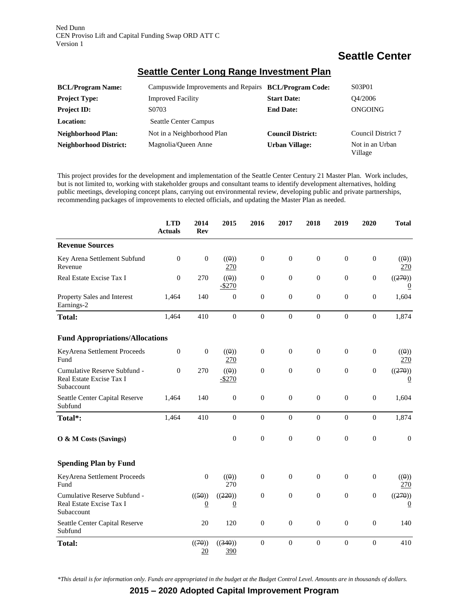Ned Dunn CEN Proviso Lift and Capital Funding Swap ORD ATT C Version 1

## **Seattle Center**

| <b>BCL/Program Name:</b>      | Campuswide Improvements and Repairs BCL/Program Code: |                          | S03P01                     |
|-------------------------------|-------------------------------------------------------|--------------------------|----------------------------|
| <b>Project Type:</b>          | <b>Improved Facility</b>                              | <b>Start Date:</b>       | O4/2006                    |
| <b>Project ID:</b>            | S0703                                                 | <b>End Date:</b>         | ONGOING                    |
| Location:                     | <b>Seattle Center Campus</b>                          |                          |                            |
| Neighborhood Plan:            | Not in a Neighborhood Plan                            | <b>Council District:</b> | Council District 7         |
| <b>Neighborhood District:</b> | Magnolia/Queen Anne                                   | <b>Urban Village:</b>    | Not in an Urban<br>Village |

## **Seattle Center Long Range Investment Plan**

This project provides for the development and implementation of the Seattle Center Century 21 Master Plan. Work includes, but is not limited to, working with stakeholder groups and consultant teams to identify development alternatives, holding public meetings, developing concept plans, carrying out environmental review, developing public and private partnerships, recommending packages of improvements to elected officials, and updating the Master Plan as needed.

|                                                                        | <b>LTD</b><br><b>Actuals</b> | 2014<br><b>Rev</b>       | 2015                      | 2016             | 2017             | 2018             | 2019             | 2020             | <b>Total</b>              |
|------------------------------------------------------------------------|------------------------------|--------------------------|---------------------------|------------------|------------------|------------------|------------------|------------------|---------------------------|
| <b>Revenue Sources</b>                                                 |                              |                          |                           |                  |                  |                  |                  |                  |                           |
| Key Arena Settlement Subfund<br>Revenue                                | $\mathbf{0}$                 | $\boldsymbol{0}$         | ((0))<br>270              | $\boldsymbol{0}$ | $\boldsymbol{0}$ | $\boldsymbol{0}$ | $\boldsymbol{0}$ | $\boldsymbol{0}$ | ((0))<br>270              |
| Real Estate Excise Tax I                                               | $\mathbf{0}$                 | 270                      | ((0))<br>$-$ \$270        | $\overline{0}$   | $\Omega$         | $\theta$         | $\mathbf{0}$     | $\mathbf{0}$     | ((270))<br>$\theta$       |
| Property Sales and Interest<br>Earnings-2                              | 1,464                        | 140                      | $\boldsymbol{0}$          | $\boldsymbol{0}$ | $\boldsymbol{0}$ | $\boldsymbol{0}$ | $\boldsymbol{0}$ | $\boldsymbol{0}$ | 1,604                     |
| <b>Total:</b>                                                          | 1,464                        | 410                      | $\boldsymbol{0}$          | $\boldsymbol{0}$ | $\boldsymbol{0}$ | $\boldsymbol{0}$ | $\boldsymbol{0}$ | $\boldsymbol{0}$ | 1,874                     |
| <b>Fund Appropriations/Allocations</b>                                 |                              |                          |                           |                  |                  |                  |                  |                  |                           |
| KeyArena Settlement Proceeds<br>Fund                                   | $\boldsymbol{0}$             | $\boldsymbol{0}$         | ((0))<br>270              | $\boldsymbol{0}$ | $\boldsymbol{0}$ | $\boldsymbol{0}$ | $\boldsymbol{0}$ | $\boldsymbol{0}$ | ((0))<br>270              |
| Cumulative Reserve Subfund -<br>Real Estate Excise Tax I<br>Subaccount | $\Omega$                     | 270                      | ((0))<br>$-$ \$270        | $\boldsymbol{0}$ | $\mathbf{0}$     | $\boldsymbol{0}$ | $\boldsymbol{0}$ | $\boldsymbol{0}$ | ((270))<br>$\overline{0}$ |
| Seattle Center Capital Reserve<br>Subfund                              | 1,464                        | 140                      | $\boldsymbol{0}$          | $\boldsymbol{0}$ | $\boldsymbol{0}$ | $\boldsymbol{0}$ | $\boldsymbol{0}$ | $\boldsymbol{0}$ | 1,604                     |
| Total*:                                                                | 1,464                        | 410                      | $\boldsymbol{0}$          | $\boldsymbol{0}$ | $\boldsymbol{0}$ | $\mathbf{0}$     | $\mathbf{0}$     | $\mathbf{0}$     | 1,874                     |
| O & M Costs (Savings)                                                  |                              |                          | $\mathbf{0}$              | $\boldsymbol{0}$ | $\mathbf{0}$     | $\mathbf{0}$     | $\mathbf{0}$     | $\mathbf{0}$     | $\mathbf{0}$              |
| <b>Spending Plan by Fund</b>                                           |                              |                          |                           |                  |                  |                  |                  |                  |                           |
| KeyArena Settlement Proceeds<br>Fund                                   |                              | $\boldsymbol{0}$         | ((0))<br>270              | $\boldsymbol{0}$ | $\mathbf{0}$     | $\overline{0}$   | $\mathbf{0}$     | $\mathbf{0}$     | ((0))<br>270              |
| Cumulative Reserve Subfund -<br>Real Estate Excise Tax I<br>Subaccount |                              | ((50))<br>$\overline{0}$ | ((220))<br>$\overline{0}$ | $\boldsymbol{0}$ | $\boldsymbol{0}$ | $\boldsymbol{0}$ | $\boldsymbol{0}$ | $\boldsymbol{0}$ | ((270))<br>$\overline{0}$ |
| Seattle Center Capital Reserve<br>Subfund                              |                              | 20                       | 120                       | $\boldsymbol{0}$ | $\mathbf{0}$     | $\boldsymbol{0}$ | $\boldsymbol{0}$ | $\boldsymbol{0}$ | 140                       |
| <b>Total:</b>                                                          |                              | ((70))<br>20             | ((340))<br>390            | $\boldsymbol{0}$ | $\boldsymbol{0}$ | $\boldsymbol{0}$ | $\boldsymbol{0}$ | $\boldsymbol{0}$ | 410                       |

*\*This detail is for information only. Funds are appropriated in the budget at the Budget Control Level. Amounts are in thousands of dollars.*